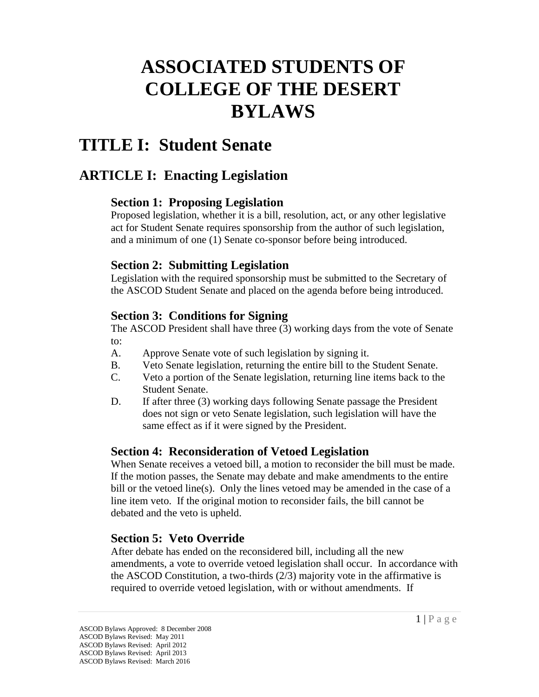# **ASSOCIATED STUDENTS OF COLLEGE OF THE DESERT BYLAWS**

# **TITLE I: Student Senate**

# **ARTICLE I: Enacting Legislation**

### **Section 1: Proposing Legislation**

Proposed legislation, whether it is a bill, resolution, act, or any other legislative act for Student Senate requires sponsorship from the author of such legislation, and a minimum of one (1) Senate co-sponsor before being introduced.

## **Section 2: Submitting Legislation**

Legislation with the required sponsorship must be submitted to the Secretary of the ASCOD Student Senate and placed on the agenda before being introduced.

#### **Section 3: Conditions for Signing**

The ASCOD President shall have three (3) working days from the vote of Senate to:

- A. Approve Senate vote of such legislation by signing it.
- B. Veto Senate legislation, returning the entire bill to the Student Senate.
- C. Veto a portion of the Senate legislation, returning line items back to the Student Senate.
- D. If after three (3) working days following Senate passage the President does not sign or veto Senate legislation, such legislation will have the same effect as if it were signed by the President.

## **Section 4: Reconsideration of Vetoed Legislation**

When Senate receives a vetoed bill, a motion to reconsider the bill must be made. If the motion passes, the Senate may debate and make amendments to the entire bill or the vetoed line(s). Only the lines vetoed may be amended in the case of a line item veto. If the original motion to reconsider fails, the bill cannot be debated and the veto is upheld.

## **Section 5: Veto Override**

After debate has ended on the reconsidered bill, including all the new amendments, a vote to override vetoed legislation shall occur. In accordance with the ASCOD Constitution, a two-thirds (2/3) majority vote in the affirmative is required to override vetoed legislation, with or without amendments. If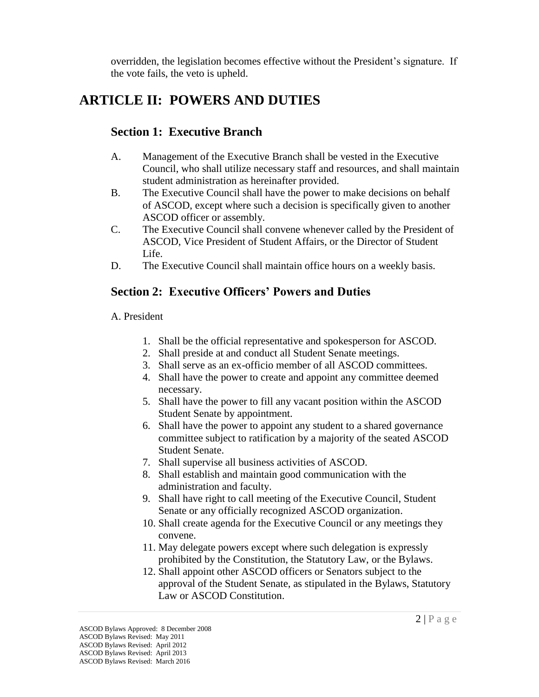overridden, the legislation becomes effective without the President's signature. If the vote fails, the veto is upheld.

# **ARTICLE II: POWERS AND DUTIES**

#### **Section 1: Executive Branch**

- A. Management of the Executive Branch shall be vested in the Executive Council, who shall utilize necessary staff and resources, and shall maintain student administration as hereinafter provided.
- B. The Executive Council shall have the power to make decisions on behalf of ASCOD, except where such a decision is specifically given to another ASCOD officer or assembly.
- C. The Executive Council shall convene whenever called by the President of ASCOD, Vice President of Student Affairs, or the Director of Student Life.
- D. The Executive Council shall maintain office hours on a weekly basis.

## **Section 2: Executive Officers' Powers and Duties**

#### A. President

- 1. Shall be the official representative and spokesperson for ASCOD.
- 2. Shall preside at and conduct all Student Senate meetings.
- 3. Shall serve as an ex-officio member of all ASCOD committees.
- 4. Shall have the power to create and appoint any committee deemed necessary.
- 5. Shall have the power to fill any vacant position within the ASCOD Student Senate by appointment.
- 6. Shall have the power to appoint any student to a shared governance committee subject to ratification by a majority of the seated ASCOD Student Senate.
- 7. Shall supervise all business activities of ASCOD.
- 8. Shall establish and maintain good communication with the administration and faculty.
- 9. Shall have right to call meeting of the Executive Council, Student Senate or any officially recognized ASCOD organization.
- 10. Shall create agenda for the Executive Council or any meetings they convene.
- 11. May delegate powers except where such delegation is expressly prohibited by the Constitution, the Statutory Law, or the Bylaws.
- 12. Shall appoint other ASCOD officers or Senators subject to the approval of the Student Senate, as stipulated in the Bylaws, Statutory Law or ASCOD Constitution.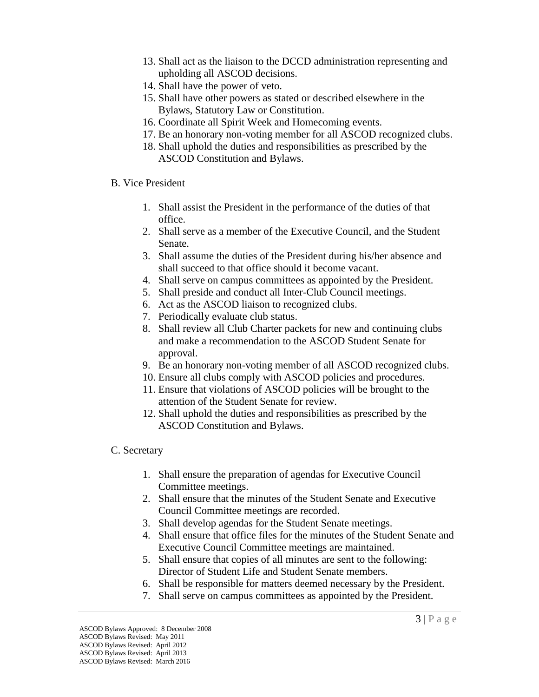- 13. Shall act as the liaison to the DCCD administration representing and upholding all ASCOD decisions.
- 14. Shall have the power of veto.
- 15. Shall have other powers as stated or described elsewhere in the Bylaws, Statutory Law or Constitution.
- 16. Coordinate all Spirit Week and Homecoming events.
- 17. Be an honorary non-voting member for all ASCOD recognized clubs.
- 18. Shall uphold the duties and responsibilities as prescribed by the ASCOD Constitution and Bylaws.
- B. Vice President
	- 1. Shall assist the President in the performance of the duties of that office.
	- 2. Shall serve as a member of the Executive Council, and the Student Senate.
	- 3. Shall assume the duties of the President during his/her absence and shall succeed to that office should it become vacant.
	- 4. Shall serve on campus committees as appointed by the President.
	- 5. Shall preside and conduct all Inter-Club Council meetings.
	- 6. Act as the ASCOD liaison to recognized clubs.
	- 7. Periodically evaluate club status.
	- 8. Shall review all Club Charter packets for new and continuing clubs and make a recommendation to the ASCOD Student Senate for approval.
	- 9. Be an honorary non-voting member of all ASCOD recognized clubs.
	- 10. Ensure all clubs comply with ASCOD policies and procedures.
	- 11. Ensure that violations of ASCOD policies will be brought to the attention of the Student Senate for review.
	- 12. Shall uphold the duties and responsibilities as prescribed by the ASCOD Constitution and Bylaws.

#### C. Secretary

- 1. Shall ensure the preparation of agendas for Executive Council Committee meetings.
- 2. Shall ensure that the minutes of the Student Senate and Executive Council Committee meetings are recorded.
- 3. Shall develop agendas for the Student Senate meetings.
- 4. Shall ensure that office files for the minutes of the Student Senate and Executive Council Committee meetings are maintained.
- 5. Shall ensure that copies of all minutes are sent to the following: Director of Student Life and Student Senate members.
- 6. Shall be responsible for matters deemed necessary by the President.
- 7. Shall serve on campus committees as appointed by the President.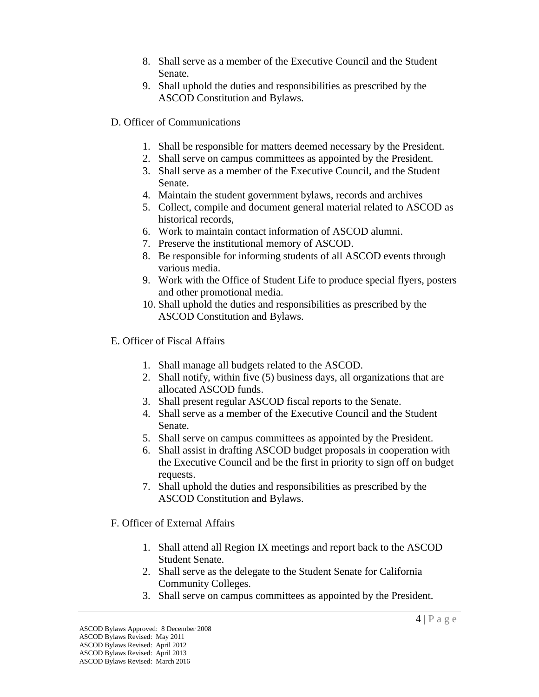- 8. Shall serve as a member of the Executive Council and the Student Senate.
- 9. Shall uphold the duties and responsibilities as prescribed by the ASCOD Constitution and Bylaws.
- D. Officer of Communications
	- 1. Shall be responsible for matters deemed necessary by the President.
	- 2. Shall serve on campus committees as appointed by the President.
	- 3. Shall serve as a member of the Executive Council, and the Student Senate.
	- 4. Maintain the student government bylaws, records and archives
	- 5. Collect, compile and document general material related to ASCOD as historical records,
	- 6. Work to maintain contact information of ASCOD alumni.
	- 7. Preserve the institutional memory of ASCOD.
	- 8. Be responsible for informing students of all ASCOD events through various media.
	- 9. Work with the Office of Student Life to produce special flyers, posters and other promotional media.
	- 10. Shall uphold the duties and responsibilities as prescribed by the ASCOD Constitution and Bylaws.
- E. Officer of Fiscal Affairs
	- 1. Shall manage all budgets related to the ASCOD.
	- 2. Shall notify, within five (5) business days, all organizations that are allocated ASCOD funds.
	- 3. Shall present regular ASCOD fiscal reports to the Senate.
	- 4. Shall serve as a member of the Executive Council and the Student Senate.
	- 5. Shall serve on campus committees as appointed by the President.
	- 6. Shall assist in drafting ASCOD budget proposals in cooperation with the Executive Council and be the first in priority to sign off on budget requests.
	- 7. Shall uphold the duties and responsibilities as prescribed by the ASCOD Constitution and Bylaws.

#### F. Officer of External Affairs

- 1. Shall attend all Region IX meetings and report back to the ASCOD Student Senate.
- 2. Shall serve as the delegate to the Student Senate for California Community Colleges.
- 3. Shall serve on campus committees as appointed by the President.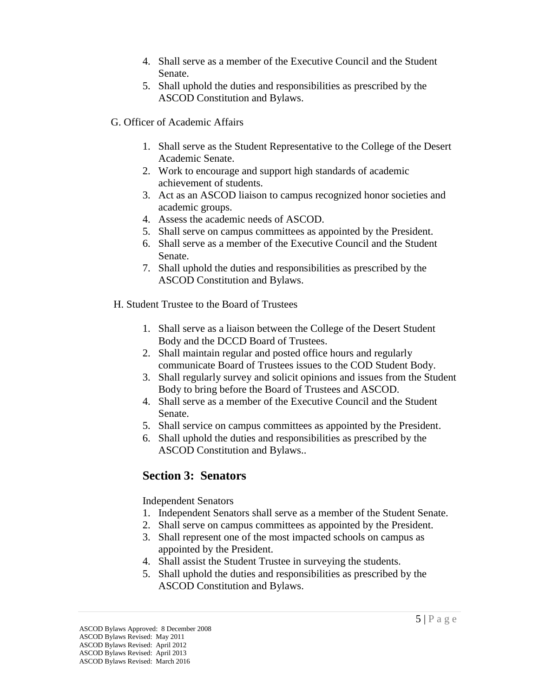- 4. Shall serve as a member of the Executive Council and the Student Senate.
- 5. Shall uphold the duties and responsibilities as prescribed by the ASCOD Constitution and Bylaws.
- G. Officer of Academic Affairs
	- 1. Shall serve as the Student Representative to the College of the Desert Academic Senate.
	- 2. Work to encourage and support high standards of academic achievement of students.
	- 3. Act as an ASCOD liaison to campus recognized honor societies and academic groups.
	- 4. Assess the academic needs of ASCOD.
	- 5. Shall serve on campus committees as appointed by the President.
	- 6. Shall serve as a member of the Executive Council and the Student Senate.
	- 7. Shall uphold the duties and responsibilities as prescribed by the ASCOD Constitution and Bylaws.
- H. Student Trustee to the Board of Trustees
	- 1. Shall serve as a liaison between the College of the Desert Student Body and the DCCD Board of Trustees.
	- 2. Shall maintain regular and posted office hours and regularly communicate Board of Trustees issues to the COD Student Body.
	- 3. Shall regularly survey and solicit opinions and issues from the Student Body to bring before the Board of Trustees and ASCOD.
	- 4. Shall serve as a member of the Executive Council and the Student Senate.
	- 5. Shall service on campus committees as appointed by the President.
	- 6. Shall uphold the duties and responsibilities as prescribed by the ASCOD Constitution and Bylaws..

#### **Section 3: Senators**

Independent Senators

- 1. Independent Senators shall serve as a member of the Student Senate.
- 2. Shall serve on campus committees as appointed by the President.
- 3. Shall represent one of the most impacted schools on campus as appointed by the President.
- 4. Shall assist the Student Trustee in surveying the students.
- 5. Shall uphold the duties and responsibilities as prescribed by the ASCOD Constitution and Bylaws.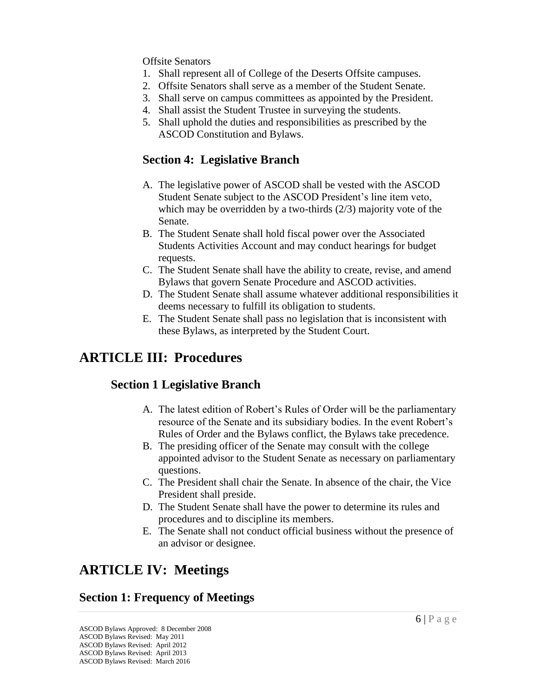#### Offsite Senators

- 1. Shall represent all of College of the Deserts Offsite campuses.
- 2. Offsite Senators shall serve as a member of the Student Senate.
- 3. Shall serve on campus committees as appointed by the President.
- 4. Shall assist the Student Trustee in surveying the students.
- 5. Shall uphold the duties and responsibilities as prescribed by the ASCOD Constitution and Bylaws.

#### **Section 4: Legislative Branch**

- A. The legislative power of ASCOD shall be vested with the ASCOD Student Senate subject to the ASCOD President's line item veto, which may be overridden by a two-thirds (2/3) majority vote of the Senate.
- B. The Student Senate shall hold fiscal power over the Associated Students Activities Account and may conduct hearings for budget requests.
- C. The Student Senate shall have the ability to create, revise, and amend Bylaws that govern Senate Procedure and ASCOD activities.
- D. The Student Senate shall assume whatever additional responsibilities it deems necessary to fulfill its obligation to students.
- E. The Student Senate shall pass no legislation that is inconsistent with these Bylaws, as interpreted by the Student Court.

## **ARTICLE III: Procedures**

#### **Section 1 Legislative Branch**

- A. The latest edition of Robert's Rules of Order will be the parliamentary resource of the Senate and its subsidiary bodies. In the event Robert's Rules of Order and the Bylaws conflict, the Bylaws take precedence.
- B. The presiding officer of the Senate may consult with the college appointed advisor to the Student Senate as necessary on parliamentary questions.
- C. The President shall chair the Senate. In absence of the chair, the Vice President shall preside.
- D. The Student Senate shall have the power to determine its rules and procedures and to discipline its members.
- E. The Senate shall not conduct official business without the presence of an advisor or designee.

# **ARTICLE IV: Meetings**

## **Section 1: Frequency of Meetings**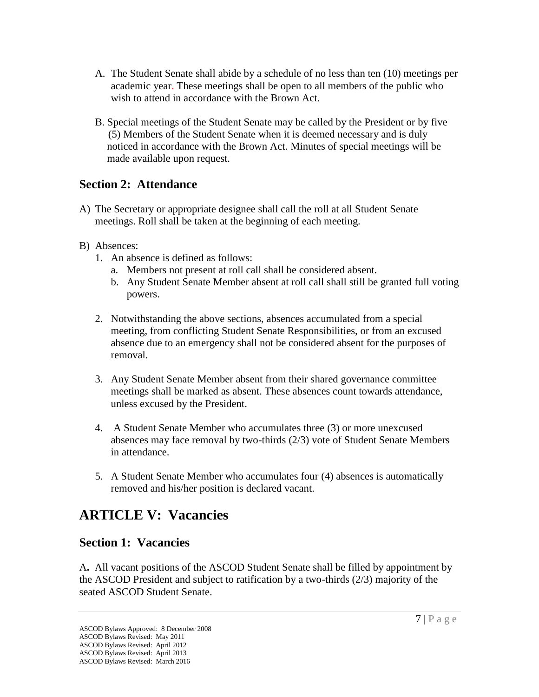- A. The Student Senate shall abide by a schedule of no less than ten (10) meetings per academic year. These meetings shall be open to all members of the public who wish to attend in accordance with the Brown Act.
- B. Special meetings of the Student Senate may be called by the President or by five (5) Members of the Student Senate when it is deemed necessary and is duly noticed in accordance with the Brown Act. Minutes of special meetings will be made available upon request.

#### **Section 2: Attendance**

- A) The Secretary or appropriate designee shall call the roll at all Student Senate meetings. Roll shall be taken at the beginning of each meeting.
- B) Absences:
	- 1. An absence is defined as follows:
		- a. Members not present at roll call shall be considered absent.
		- b. Any Student Senate Member absent at roll call shall still be granted full voting powers.
	- 2. Notwithstanding the above sections, absences accumulated from a special meeting, from conflicting Student Senate Responsibilities, or from an excused absence due to an emergency shall not be considered absent for the purposes of removal.
	- 3. Any Student Senate Member absent from their shared governance committee meetings shall be marked as absent. These absences count towards attendance, unless excused by the President.
	- 4. A Student Senate Member who accumulates three (3) or more unexcused absences may face removal by two-thirds (2/3) vote of Student Senate Members in attendance.
	- 5. A Student Senate Member who accumulates four (4) absences is automatically removed and his/her position is declared vacant.

# **ARTICLE V: Vacancies**

#### **Section 1: Vacancies**

A**.** All vacant positions of the ASCOD Student Senate shall be filled by appointment by the ASCOD President and subject to ratification by a two-thirds (2/3) majority of the seated ASCOD Student Senate.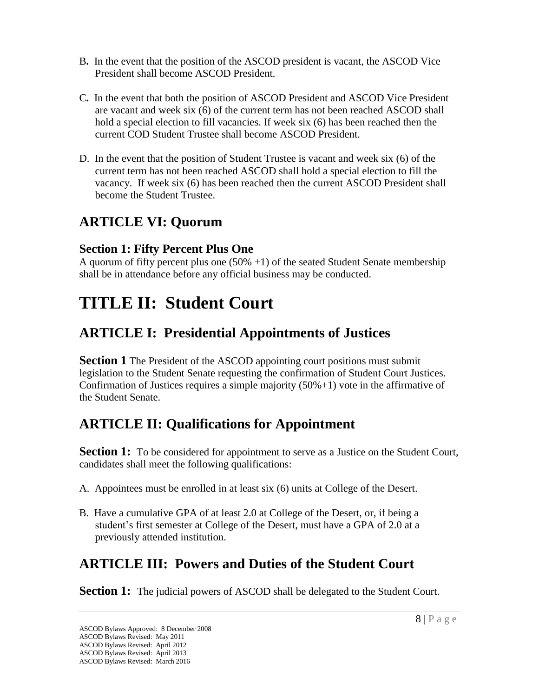- B**.** In the event that the position of the ASCOD president is vacant, the ASCOD Vice President shall become ASCOD President.
- C**.** In the event that both the position of ASCOD President and ASCOD Vice President are vacant and week six (6) of the current term has not been reached ASCOD shall hold a special election to fill vacancies. If week six (6) has been reached then the current COD Student Trustee shall become ASCOD President.
- D. In the event that the position of Student Trustee is vacant and week six (6) of the current term has not been reached ASCOD shall hold a special election to fill the vacancy. If week six (6) has been reached then the current ASCOD President shall become the Student Trustee.

# **ARTICLE VI: Quorum**

### **Section 1: Fifty Percent Plus One**

A quorum of fifty percent plus one  $(50\% +1)$  of the seated Student Senate membership shall be in attendance before any official business may be conducted.

# **TITLE II: Student Court**

# **ARTICLE I: Presidential Appointments of Justices**

**Section 1** The President of the ASCOD appointing court positions must submit legislation to the Student Senate requesting the confirmation of Student Court Justices. Confirmation of Justices requires a simple majority  $(50\% + 1)$  vote in the affirmative of the Student Senate.

# **ARTICLE II: Qualifications for Appointment**

**Section 1:** To be considered for appointment to serve as a Justice on the Student Court, candidates shall meet the following qualifications:

- A. Appointees must be enrolled in at least six (6) units at College of the Desert.
- B. Have a cumulative GPA of at least 2.0 at College of the Desert, or, if being a student's first semester at College of the Desert, must have a GPA of 2.0 at a previously attended institution.

# **ARTICLE III: Powers and Duties of the Student Court**

**Section 1:** The judicial powers of ASCOD shall be delegated to the Student Court.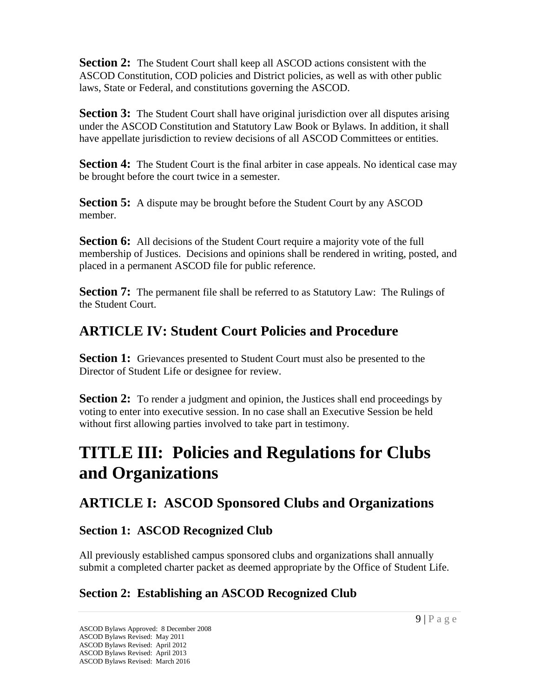**Section 2:** The Student Court shall keep all ASCOD actions consistent with the ASCOD Constitution, COD policies and District policies, as well as with other public laws, State or Federal, and constitutions governing the ASCOD.

**Section 3:** The Student Court shall have original jurisdiction over all disputes arising under the ASCOD Constitution and Statutory Law Book or Bylaws. In addition, it shall have appellate jurisdiction to review decisions of all ASCOD Committees or entities.

**Section 4:** The Student Court is the final arbiter in case appeals. No identical case may be brought before the court twice in a semester.

**Section 5:** A dispute may be brought before the Student Court by any ASCOD member.

**Section 6:** All decisions of the Student Court require a majority vote of the full membership of Justices. Decisions and opinions shall be rendered in writing, posted, and placed in a permanent ASCOD file for public reference.

**Section 7:** The permanent file shall be referred to as Statutory Law: The Rulings of the Student Court.

# **ARTICLE IV: Student Court Policies and Procedure**

**Section 1:** Grievances presented to Student Court must also be presented to the Director of Student Life or designee for review.

**Section 2:** To render a judgment and opinion, the Justices shall end proceedings by voting to enter into executive session. In no case shall an Executive Session be held without first allowing parties involved to take part in testimony.

# **TITLE III: Policies and Regulations for Clubs and Organizations**

# **ARTICLE I: ASCOD Sponsored Clubs and Organizations**

## **Section 1: ASCOD Recognized Club**

All previously established campus sponsored clubs and organizations shall annually submit a completed charter packet as deemed appropriate by the Office of Student Life.

# **Section 2: Establishing an ASCOD Recognized Club**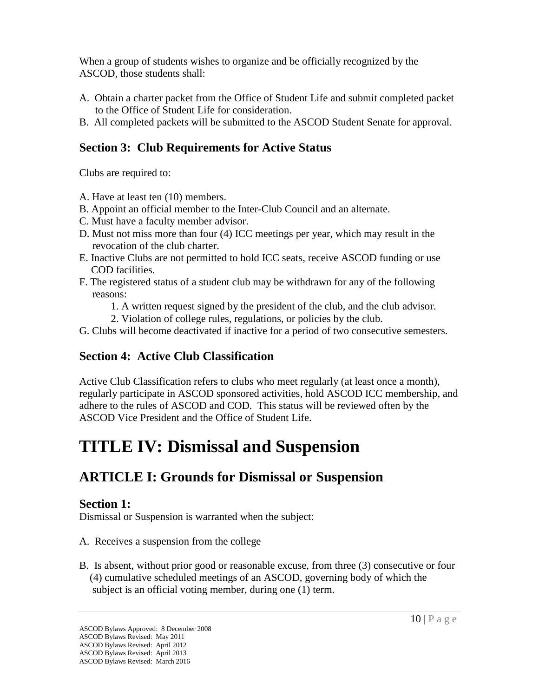When a group of students wishes to organize and be officially recognized by the ASCOD, those students shall:

- A. Obtain a charter packet from the Office of Student Life and submit completed packet to the Office of Student Life for consideration.
- B. All completed packets will be submitted to the ASCOD Student Senate for approval.

### **Section 3: Club Requirements for Active Status**

Clubs are required to:

- A. Have at least ten (10) members.
- B. Appoint an official member to the Inter-Club Council and an alternate.
- C. Must have a faculty member advisor.
- D. Must not miss more than four (4) ICC meetings per year, which may result in the revocation of the club charter.
- E. Inactive Clubs are not permitted to hold ICC seats, receive ASCOD funding or use COD facilities.
- F. The registered status of a student club may be withdrawn for any of the following reasons:
	- 1. A written request signed by the president of the club, and the club advisor.
	- 2. Violation of college rules, regulations, or policies by the club.
- G. Clubs will become deactivated if inactive for a period of two consecutive semesters.

## **Section 4: Active Club Classification**

Active Club Classification refers to clubs who meet regularly (at least once a month), regularly participate in ASCOD sponsored activities, hold ASCOD ICC membership, and adhere to the rules of ASCOD and COD. This status will be reviewed often by the ASCOD Vice President and the Office of Student Life.

# **TITLE IV: Dismissal and Suspension**

# **ARTICLE I: Grounds for Dismissal or Suspension**

## **Section 1:**

Dismissal or Suspension is warranted when the subject:

- A. Receives a suspension from the college
- B. Is absent, without prior good or reasonable excuse, from three (3) consecutive or four (4) cumulative scheduled meetings of an ASCOD, governing body of which the subject is an official voting member, during one (1) term.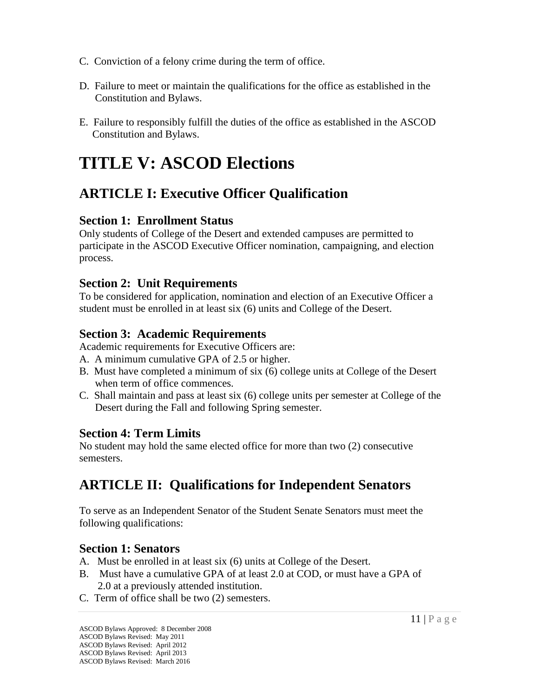- C. Conviction of a felony crime during the term of office.
- D. Failure to meet or maintain the qualifications for the office as established in the Constitution and Bylaws.
- E. Failure to responsibly fulfill the duties of the office as established in the ASCOD Constitution and Bylaws.

# **TITLE V: ASCOD Elections**

# **ARTICLE I: Executive Officer Qualification**

#### **Section 1: Enrollment Status**

Only students of College of the Desert and extended campuses are permitted to participate in the ASCOD Executive Officer nomination, campaigning, and election process.

#### **Section 2: Unit Requirements**

To be considered for application, nomination and election of an Executive Officer a student must be enrolled in at least six (6) units and College of the Desert.

#### **Section 3: Academic Requirements**

Academic requirements for Executive Officers are:

- A. A minimum cumulative GPA of 2.5 or higher.
- B. Must have completed a minimum of six (6) college units at College of the Desert when term of office commences.
- C. Shall maintain and pass at least six (6) college units per semester at College of the Desert during the Fall and following Spring semester.

#### **Section 4: Term Limits**

No student may hold the same elected office for more than two (2) consecutive semesters.

# **ARTICLE II: Qualifications for Independent Senators**

To serve as an Independent Senator of the Student Senate Senators must meet the following qualifications:

## **Section 1: Senators**

- A. Must be enrolled in at least six (6) units at College of the Desert.
- B. Must have a cumulative GPA of at least 2.0 at COD, or must have a GPA of 2.0 at a previously attended institution.
- C. Term of office shall be two (2) semesters.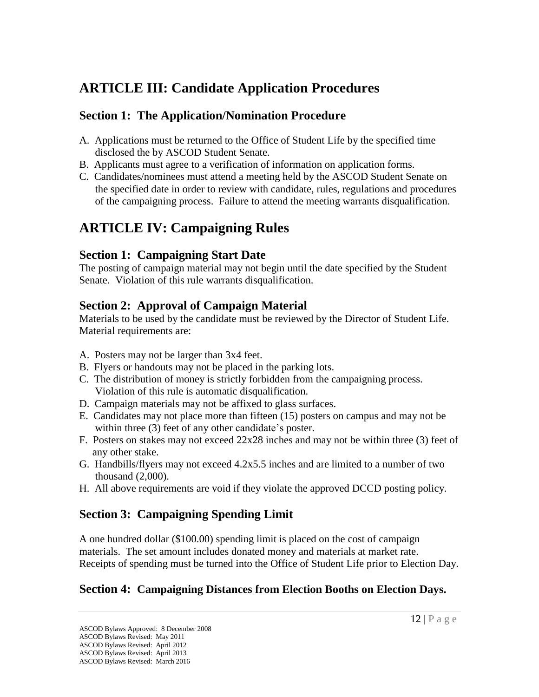# **ARTICLE III: Candidate Application Procedures**

## **Section 1: The Application/Nomination Procedure**

- A. Applications must be returned to the Office of Student Life by the specified time disclosed the by ASCOD Student Senate.
- B. Applicants must agree to a verification of information on application forms.
- C. Candidates/nominees must attend a meeting held by the ASCOD Student Senate on the specified date in order to review with candidate, rules, regulations and procedures of the campaigning process. Failure to attend the meeting warrants disqualification.

# **ARTICLE IV: Campaigning Rules**

## **Section 1: Campaigning Start Date**

The posting of campaign material may not begin until the date specified by the Student Senate. Violation of this rule warrants disqualification.

## **Section 2: Approval of Campaign Material**

Materials to be used by the candidate must be reviewed by the Director of Student Life. Material requirements are:

- A. Posters may not be larger than 3x4 feet.
- B. Flyers or handouts may not be placed in the parking lots.
- C. The distribution of money is strictly forbidden from the campaigning process. Violation of this rule is automatic disqualification.
- D. Campaign materials may not be affixed to glass surfaces.
- E. Candidates may not place more than fifteen (15) posters on campus and may not be within three (3) feet of any other candidate's poster.
- F. Posters on stakes may not exceed 22x28 inches and may not be within three (3) feet of any other stake.
- G. Handbills/flyers may not exceed 4.2x5.5 inches and are limited to a number of two thousand (2,000).
- H. All above requirements are void if they violate the approved DCCD posting policy.

## **Section 3: Campaigning Spending Limit**

A one hundred dollar (\$100.00) spending limit is placed on the cost of campaign materials. The set amount includes donated money and materials at market rate. Receipts of spending must be turned into the Office of Student Life prior to Election Day.

## **Section 4: Campaigning Distances from Election Booths on Election Days.**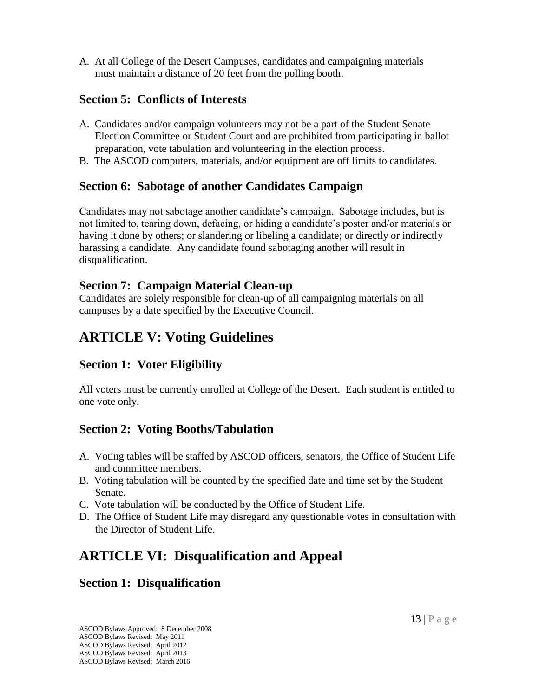A. At all College of the Desert Campuses, candidates and campaigning materials must maintain a distance of 20 feet from the polling booth.

#### **Section 5: Conflicts of Interests**

- A. Candidates and/or campaign volunteers may not be a part of the Student Senate Election Committee or Student Court and are prohibited from participating in ballot preparation, vote tabulation and volunteering in the election process.
- B. The ASCOD computers, materials, and/or equipment are off limits to candidates.

#### **Section 6: Sabotage of another Candidates Campaign**

Candidates may not sabotage another candidate's campaign. Sabotage includes, but is not limited to, tearing down, defacing, or hiding a candidate's poster and/or materials or having it done by others; or slandering or libeling a candidate; or directly or indirectly harassing a candidate. Any candidate found sabotaging another will result in disqualification.

#### **Section 7: Campaign Material Clean-up**

Candidates are solely responsible for clean-up of all campaigning materials on all campuses by a date specified by the Executive Council.

# **ARTICLE V: Voting Guidelines**

## **Section 1: Voter Eligibility**

All voters must be currently enrolled at College of the Desert. Each student is entitled to one vote only.

## **Section 2: Voting Booths/Tabulation**

- A. Voting tables will be staffed by ASCOD officers, senators, the Office of Student Life and committee members.
- B. Voting tabulation will be counted by the specified date and time set by the Student Senate.
- C. Vote tabulation will be conducted by the Office of Student Life.
- D. The Office of Student Life may disregard any questionable votes in consultation with the Director of Student Life.

# **ARTICLE VI: Disqualification and Appeal**

## **Section 1: Disqualification**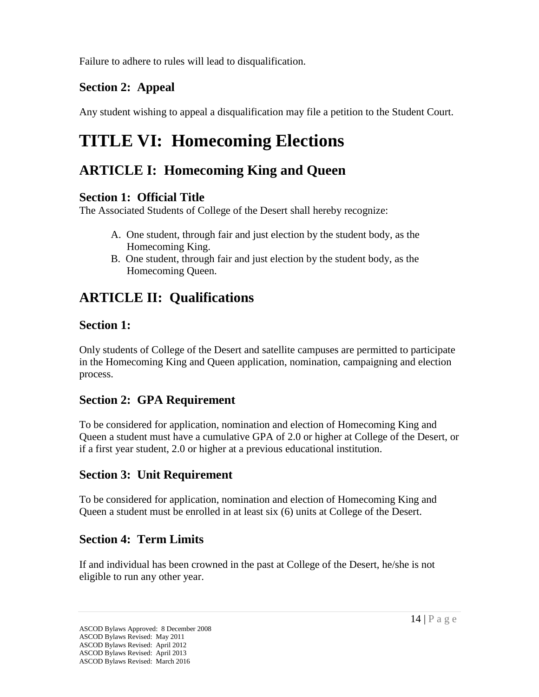Failure to adhere to rules will lead to disqualification.

## **Section 2: Appeal**

Any student wishing to appeal a disqualification may file a petition to the Student Court.

# **TITLE VI: Homecoming Elections**

# **ARTICLE I: Homecoming King and Queen**

### **Section 1: Official Title**

The Associated Students of College of the Desert shall hereby recognize:

- A. One student, through fair and just election by the student body, as the Homecoming King.
- B. One student, through fair and just election by the student body, as the Homecoming Queen.

# **ARTICLE II: Qualifications**

### **Section 1:**

Only students of College of the Desert and satellite campuses are permitted to participate in the Homecoming King and Queen application, nomination, campaigning and election process.

## **Section 2: GPA Requirement**

To be considered for application, nomination and election of Homecoming King and Queen a student must have a cumulative GPA of 2.0 or higher at College of the Desert, or if a first year student, 2.0 or higher at a previous educational institution.

## **Section 3: Unit Requirement**

To be considered for application, nomination and election of Homecoming King and Queen a student must be enrolled in at least six (6) units at College of the Desert.

## **Section 4: Term Limits**

If and individual has been crowned in the past at College of the Desert, he/she is not eligible to run any other year.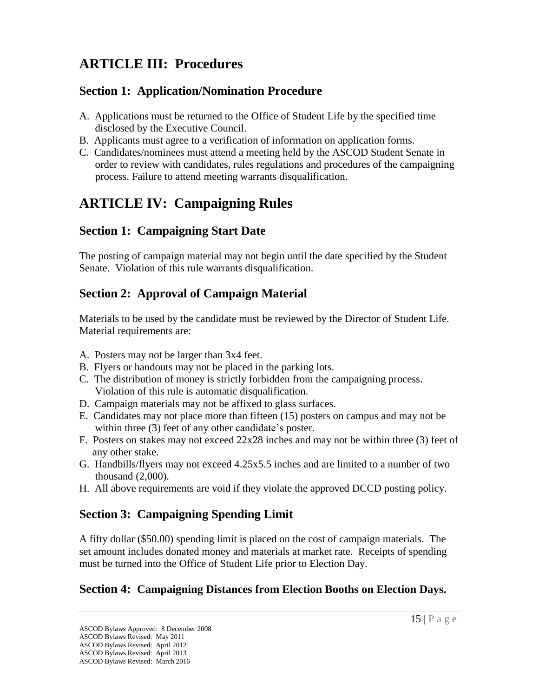# **ARTICLE III: Procedures**

### **Section 1: Application/Nomination Procedure**

- A. Applications must be returned to the Office of Student Life by the specified time disclosed by the Executive Council.
- B. Applicants must agree to a verification of information on application forms.
- C. Candidates/nominees must attend a meeting held by the ASCOD Student Senate in order to review with candidates, rules regulations and procedures of the campaigning process. Failure to attend meeting warrants disqualification.

# **ARTICLE IV: Campaigning Rules**

### **Section 1: Campaigning Start Date**

The posting of campaign material may not begin until the date specified by the Student Senate. Violation of this rule warrants disqualification.

### **Section 2: Approval of Campaign Material**

Materials to be used by the candidate must be reviewed by the Director of Student Life. Material requirements are:

- A. Posters may not be larger than 3x4 feet.
- B. Flyers or handouts may not be placed in the parking lots.
- C. The distribution of money is strictly forbidden from the campaigning process. Violation of this rule is automatic disqualification.
- D. Campaign materials may not be affixed to glass surfaces.
- E. Candidates may not place more than fifteen (15) posters on campus and may not be within three (3) feet of any other candidate's poster.
- F. Posters on stakes may not exceed 22x28 inches and may not be within three (3) feet of any other stake.
- G. Handbills/flyers may not exceed 4.25x5.5 inches and are limited to a number of two thousand (2,000).
- H. All above requirements are void if they violate the approved DCCD posting policy.

## **Section 3: Campaigning Spending Limit**

A fifty dollar (\$50.00) spending limit is placed on the cost of campaign materials. The set amount includes donated money and materials at market rate. Receipts of spending must be turned into the Office of Student Life prior to Election Day.

## **Section 4: Campaigning Distances from Election Booths on Election Days.**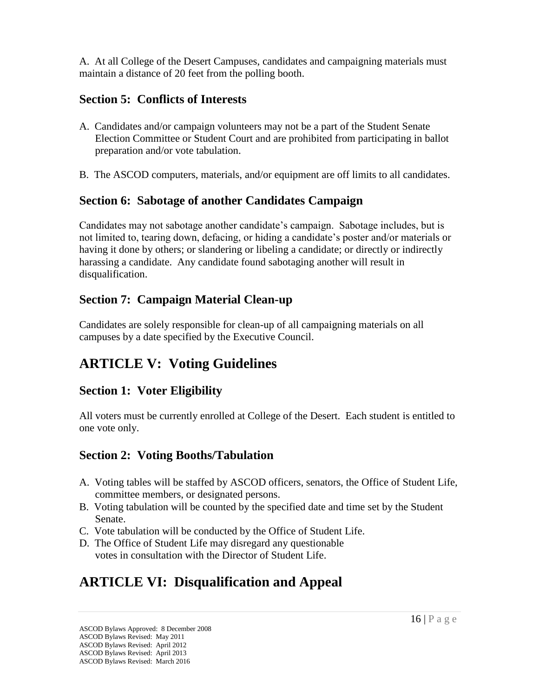A. At all College of the Desert Campuses, candidates and campaigning materials must maintain a distance of 20 feet from the polling booth.

### **Section 5: Conflicts of Interests**

- A. Candidates and/or campaign volunteers may not be a part of the Student Senate Election Committee or Student Court and are prohibited from participating in ballot preparation and/or vote tabulation.
- B. The ASCOD computers, materials, and/or equipment are off limits to all candidates.

#### **Section 6: Sabotage of another Candidates Campaign**

Candidates may not sabotage another candidate's campaign. Sabotage includes, but is not limited to, tearing down, defacing, or hiding a candidate's poster and/or materials or having it done by others; or slandering or libeling a candidate; or directly or indirectly harassing a candidate. Any candidate found sabotaging another will result in disqualification.

## **Section 7: Campaign Material Clean-up**

Candidates are solely responsible for clean-up of all campaigning materials on all campuses by a date specified by the Executive Council.

# **ARTICLE V: Voting Guidelines**

## **Section 1: Voter Eligibility**

All voters must be currently enrolled at College of the Desert. Each student is entitled to one vote only.

## **Section 2: Voting Booths/Tabulation**

- A. Voting tables will be staffed by ASCOD officers, senators, the Office of Student Life, committee members, or designated persons.
- B. Voting tabulation will be counted by the specified date and time set by the Student Senate.
- C. Vote tabulation will be conducted by the Office of Student Life.
- D. The Office of Student Life may disregard any questionable votes in consultation with the Director of Student Life.

# **ARTICLE VI: Disqualification and Appeal**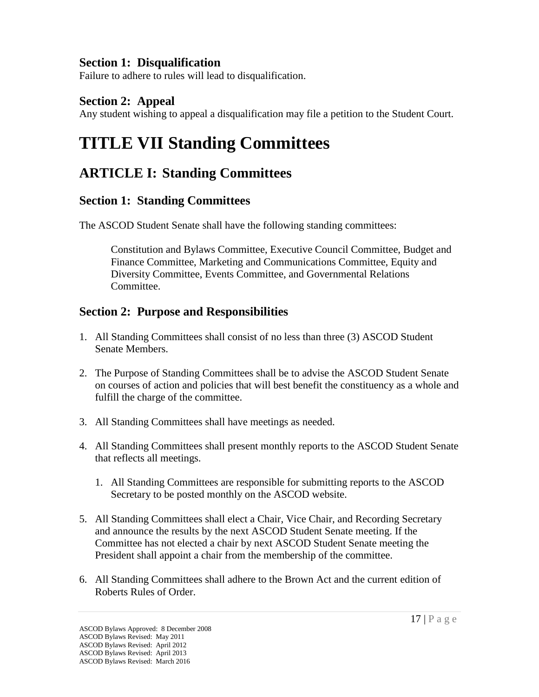#### **Section 1: Disqualification**

Failure to adhere to rules will lead to disqualification.

#### **Section 2: Appeal**

Any student wishing to appeal a disqualification may file a petition to the Student Court.

# **TITLE VII Standing Committees**

# **ARTICLE I: Standing Committees**

#### **Section 1: Standing Committees**

The ASCOD Student Senate shall have the following standing committees:

Constitution and Bylaws Committee, Executive Council Committee, Budget and Finance Committee, Marketing and Communications Committee, Equity and Diversity Committee, Events Committee, and Governmental Relations Committee.

### **Section 2: Purpose and Responsibilities**

- 1. All Standing Committees shall consist of no less than three (3) ASCOD Student Senate Members.
- 2. The Purpose of Standing Committees shall be to advise the ASCOD Student Senate on courses of action and policies that will best benefit the constituency as a whole and fulfill the charge of the committee.
- 3. All Standing Committees shall have meetings as needed.
- 4. All Standing Committees shall present monthly reports to the ASCOD Student Senate that reflects all meetings.
	- 1. All Standing Committees are responsible for submitting reports to the ASCOD Secretary to be posted monthly on the ASCOD website.
- 5. All Standing Committees shall elect a Chair, Vice Chair, and Recording Secretary and announce the results by the next ASCOD Student Senate meeting. If the Committee has not elected a chair by next ASCOD Student Senate meeting the President shall appoint a chair from the membership of the committee.
- 6. All Standing Committees shall adhere to the Brown Act and the current edition of Roberts Rules of Order.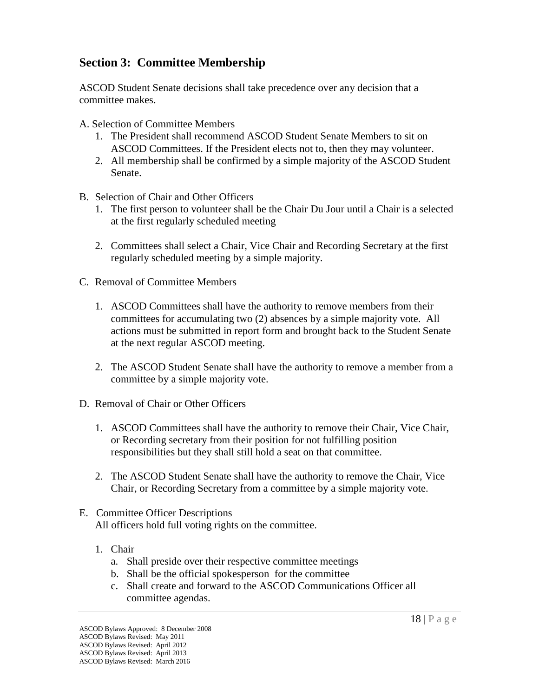#### **Section 3: Committee Membership**

ASCOD Student Senate decisions shall take precedence over any decision that a committee makes.

- A. Selection of Committee Members
	- 1. The President shall recommend ASCOD Student Senate Members to sit on ASCOD Committees. If the President elects not to, then they may volunteer.
	- 2. All membership shall be confirmed by a simple majority of the ASCOD Student Senate.
- B. Selection of Chair and Other Officers
	- 1. The first person to volunteer shall be the Chair Du Jour until a Chair is a selected at the first regularly scheduled meeting
	- 2. Committees shall select a Chair, Vice Chair and Recording Secretary at the first regularly scheduled meeting by a simple majority.
- C. Removal of Committee Members
	- 1. ASCOD Committees shall have the authority to remove members from their committees for accumulating two (2) absences by a simple majority vote. All actions must be submitted in report form and brought back to the Student Senate at the next regular ASCOD meeting.
	- 2. The ASCOD Student Senate shall have the authority to remove a member from a committee by a simple majority vote.
- D. Removal of Chair or Other Officers
	- 1. ASCOD Committees shall have the authority to remove their Chair, Vice Chair, or Recording secretary from their position for not fulfilling position responsibilities but they shall still hold a seat on that committee.
	- 2. The ASCOD Student Senate shall have the authority to remove the Chair, Vice Chair, or Recording Secretary from a committee by a simple majority vote.
- E. Committee Officer Descriptions All officers hold full voting rights on the committee.
	- 1. Chair
		- a. Shall preside over their respective committee meetings
		- b. Shall be the official spokesperson for the committee
		- c. Shall create and forward to the ASCOD Communications Officer all committee agendas.